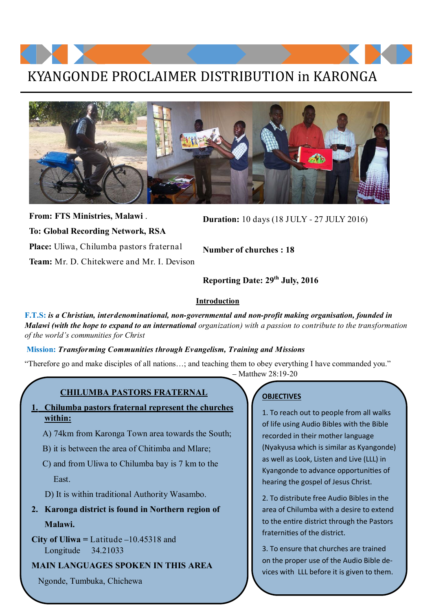## KYANGONDE PROCLAIMER DISTRIBUTION in KARONGA



**From: FTS Ministries, Malawi** . **To: Global Recording Network, RSA Place:** Uliwa, Chilumba pastors fraternal **Team:** Mr. D. Chitekwere and Mr. I. Devison

**Duration:** 10 days (18 JULY - 27 JULY 2016)

**Number of churches : 18**

**Reporting Date: 29th July, 2016**

#### **Introduction**

**F.T.S:** *is a Christian, interdenominational, non-governmental and non-profit making organisation, founded in Malawi (with the hope to expand to an international organization) with a passion to contribute to the transformation of the world's communities for Christ*

#### **Mission:** *Transforming Communities through Evangelism, Training and Missions*

"Therefore go and make disciples of all nations…; and teaching them to obey everything I have commanded you." – Matthew 28:19-20

#### **CHILUMBA PASTORS FRATERNAL**

- **1. Chilumba pastors fraternal represent the churches within:** 
	- A) 74km from Karonga Town area towards the South;
	- B) it is between the area of Chitimba and Mlare;
	- C) and from Uliwa to Chilumba bay is 7 km to the East.
	- D) It is within traditional Authority Wasambo.
- **2. Karonga district is found in Northern region of Malawi.**
- **City of Uliwa =** Latitude –10.45318 and Longitude 34.21033

#### **MAIN LANGUAGES SPOKEN IN THIS AREA**

Ngonde, Tumbuka, Chichewa

#### **OBJECTIVES**

1. To reach out to people from all walks of life using Audio Bibles with the Bible recorded in their mother language (Nyakyusa which is similar as Kyangonde) as well as Look, Listen and Live (LLL) in Kyangonde to advance opportunities of hearing the gospel of Jesus Christ.

2. To distribute free Audio Bibles in the area of Chilumba with a desire to extend to the entire district through the Pastors fraternities of the district.

3. To ensure that churches are trained on the proper use of the Audio Bible devices with LLL before it is given to them.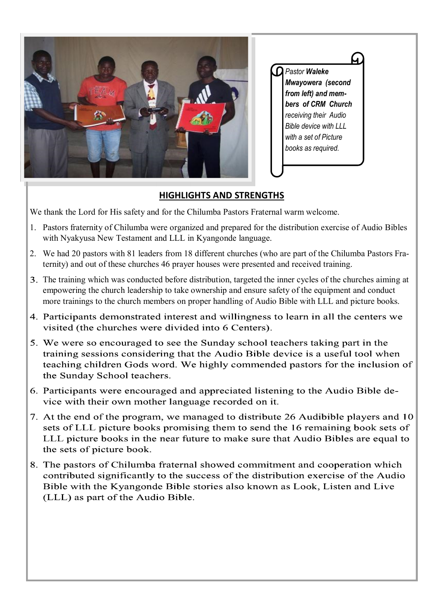

### **HIGHLIGHTS AND STRENGTHS**

We thank the Lord for His safety and for the Chilumba Pastors Fraternal warm welcome.

- 1. Pastors fraternity of Chilumba were organized and prepared for the distribution exercise of Audio Bibles with Nyakyusa New Testament and LLL in Kyangonde language.
- 2. We had 20 pastors with 81 leaders from 18 different churches (who are part of the Chilumba Pastors Fraternity) and out of these churches 46 prayer houses were presented and received training.
- The training which was conducted before distribution, targeted the inner cycles of the churches aiming at empowering the church leadership to take ownership and ensure safety of the equipment and conduct more trainings to the church members on proper handling of Audio Bible with LLL and picture books.
- 4. Participants demonstrated interest and willingness to learn in all the centers we visited (the churches were divided into 6 Centers).
- 5. We were so encouraged to see the Sunday school teachers taking part in the training sessions considering that the Audio Bible device is a useful tool when teaching children Gods word. We highly commended pastors for the inclusion of the Sunday School teachers.
- 6. Participants were encouraged and appreciated listening to the Audio Bible device with their own mother language recorded on it.
- 7. At the end of the program, we managed to distribute 26 Audibible players and 10 sets of LLL picture books promising them to send the 16 remaining book sets of LLL picture books in the near future to make sure that Audio Bibles are equal to the sets of picture book.
- 8. The pastors of Chilumba fraternal showed commitment and cooperation which contributed significantly to the success of the distribution exercise of the Audio Bible with the Kyangonde Bible stories also known as Look, Listen and Live (LLL) as part of the Audio Bible.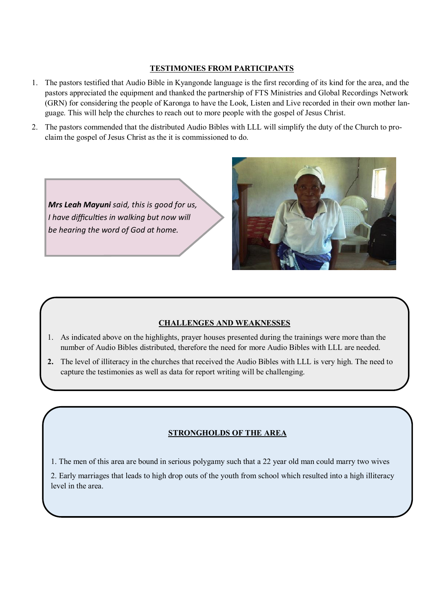#### **TESTIMONIES FROM PARTICIPANTS**

- 1. The pastors testified that Audio Bible in Kyangonde language is the first recording of its kind for the area, and the pastors appreciated the equipment and thanked the partnership of FTS Ministries and Global Recordings Network (GRN) for considering the people of Karonga to have the Look, Listen and Live recorded in their own mother language. This will help the churches to reach out to more people with the gospel of Jesus Christ.
- 2. The pastors commended that the distributed Audio Bibles with LLL will simplify the duty of the Church to proclaim the gospel of Jesus Christ as the it is commissioned to do.





#### **CHALLENGES AND WEAKNESSES**

- 1. As indicated above on the highlights, prayer houses presented during the trainings were more than the number of Audio Bibles distributed, therefore the need for more Audio Bibles with LLL are needed.
- **2.** The level of illiteracy in the churches that received the Audio Bibles with LLL is very high. The need to capture the testimonies as well as data for report writing will be challenging.

#### **STRONGHOLDS OF THE AREA**

1. The men of this area are bound in serious polygamy such that a 22 year old man could marry two wives

2. Early marriages that leads to high drop outs of the youth from school which resulted into a high illiteracy level in the area.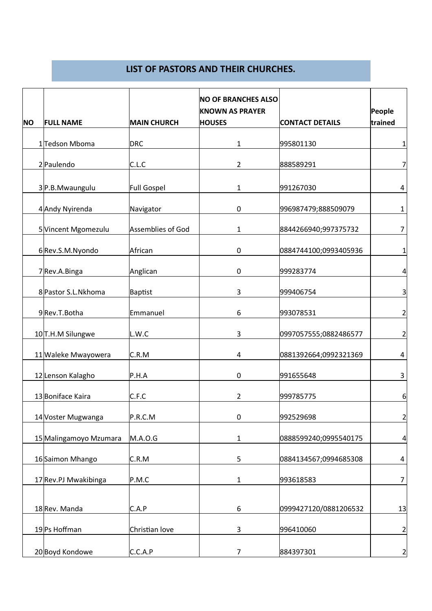#### **LIST OF PASTORS AND THEIR CHURCHES.**

|           |                               |                    | <b>NO OF BRANCHES ALSO</b><br><b>KNOWN AS PRAYER</b> |                        | People         |
|-----------|-------------------------------|--------------------|------------------------------------------------------|------------------------|----------------|
| <b>NO</b> | <b>FULL NAME</b>              | <b>MAIN CHURCH</b> | <b>HOUSES</b>                                        | <b>CONTACT DETAILS</b> | trained        |
|           | 1 Tedson Mboma                | <b>DRC</b>         | 1                                                    | 995801130              | 1              |
|           | 2 Paulendo                    | C.L.C              | 2                                                    | 888589291              | 7              |
|           | 3P.B.Mwaungulu                | <b>Full Gospel</b> | 1                                                    | 991267030              | 4              |
|           | 4 Andy Nyirenda               | Navigator          | 0                                                    | 996987479;888509079    | 1              |
|           | 5 Vincent Mgomezulu           | Assemblies of God  | 1                                                    | 8844266940;997375732   | 7              |
|           | 6Rev.S.M.Nyondo               | African            | 0                                                    | 0884744100;0993405936  | $\mathbf{1}$   |
|           | 7 Rev.A.Binga                 | Anglican           | $\pmb{0}$                                            | 999283774              | $\overline{4}$ |
|           | 8 Pastor S.L.Nkhoma           | <b>Baptist</b>     | 3                                                    | 999406754              | 3              |
|           | 9Rev.T.Botha                  | Emmanuel           | 6                                                    | 993078531              | 2              |
|           | 10 <sub>T</sub> .H.M Silungwe | L.W.C              | 3                                                    | 0997057555;0882486577  | $\overline{a}$ |
|           | 11 Waleke Mwayowera           | C.R.M              | 4                                                    | 0881392664;0992321369  | 4              |
|           | 12 Lenson Kalagho             | P.H.A              | $\pmb{0}$                                            | 991655648              | 3              |
|           | 13 Boniface Kaira             | C.F.C              | $\overline{2}$                                       | 999785775              | 6              |
|           | 14 Voster Mugwanga            | P.R.C.M            | $\pmb{0}$                                            | 992529698              | 2              |
|           | 15 Malingamoyo Mzumara        | M.A.O.G            | 1                                                    | 0888599240;0995540175  | $\overline{a}$ |
|           | 16 Saimon Mhango              | C.R.M              | 5                                                    | 0884134567;0994685308  | 4              |
|           | 17 Rev.PJ Mwakibinga          | P.M.C              | $\mathbf{1}$                                         | 993618583              | $\overline{7}$ |
|           | 18 Rev. Manda                 | C.A.P              | 6                                                    | 0999427120/0881206532  | 13             |
|           | 19 Ps Hoffman                 | Christian love     | 3                                                    | 996410060              | $\overline{2}$ |
|           | 20 Boyd Kondowe               | C.C.A.P            | $\overline{7}$                                       | 884397301              | 2              |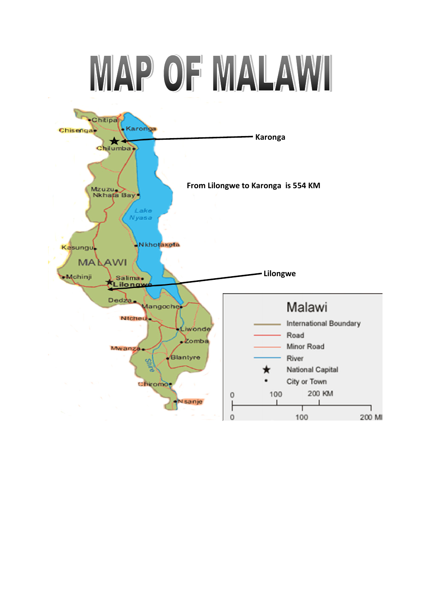# MAP OF MALAWI